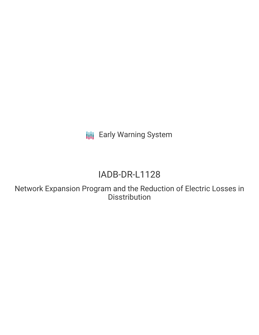**III** Early Warning System

# IADB-DR-L1128

Network Expansion Program and the Reduction of Electric Losses in **Disstribution**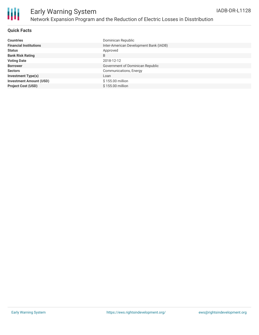

### **Quick Facts**

| <b>Countries</b>               | Dominican Republic                     |
|--------------------------------|----------------------------------------|
| <b>Financial Institutions</b>  | Inter-American Development Bank (IADB) |
| <b>Status</b>                  | Approved                               |
| <b>Bank Risk Rating</b>        | B                                      |
| <b>Voting Date</b>             | 2018-12-12                             |
| <b>Borrower</b>                | Government of Dominican Republic       |
| <b>Sectors</b>                 | Communications, Energy                 |
| <b>Investment Type(s)</b>      | Loan                                   |
| <b>Investment Amount (USD)</b> | \$155.00 million                       |
| <b>Project Cost (USD)</b>      | \$155,00 million                       |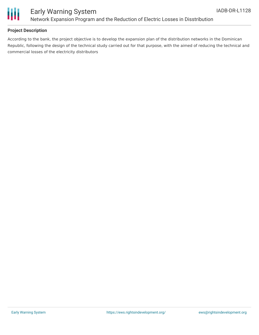

## Early Warning System Network Expansion Program and the Reduction of Electric Losses in Disstribution

#### **Project Description**

According to the bank, the project objective is to develop the expansion plan of the distribution networks in the Dominican Republic, following the design of the technical study carried out for that purpose, with the aimed of reducing the technical and commercial losses of the electricity distributors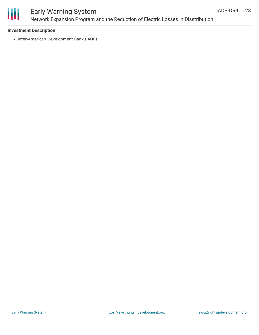

# Early Warning System Network Expansion Program and the Reduction of Electric Losses in Disstribution

#### **Investment Description**

• Inter-American Development Bank (IADB)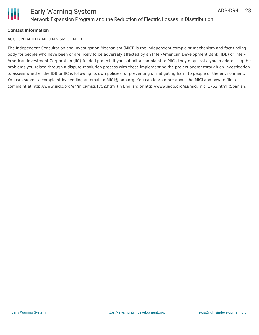### **Contact Information**

### ACCOUNTABILITY MECHANISM OF IADB

The Independent Consultation and Investigation Mechanism (MICI) is the independent complaint mechanism and fact-finding body for people who have been or are likely to be adversely affected by an Inter-American Development Bank (IDB) or Inter-American Investment Corporation (IIC)-funded project. If you submit a complaint to MICI, they may assist you in addressing the problems you raised through a dispute-resolution process with those implementing the project and/or through an investigation to assess whether the IDB or IIC is following its own policies for preventing or mitigating harm to people or the environment. You can submit a complaint by sending an email to MICI@iadb.org. You can learn more about the MICI and how to file a complaint at http://www.iadb.org/en/mici/mici,1752.html (in English) or http://www.iadb.org/es/mici/mici,1752.html (Spanish).